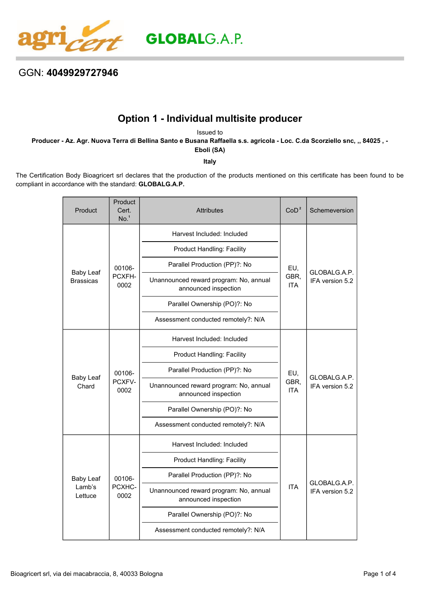

## GGN: **4049929727946**

## **Option 1 - Individual multisite producer**

Issued to

**Producer - Az. Agr. Nuova Terra di Bellina Santo e Busana Raffaella s.s. agricola - Loc. C.da Scorziello snc, ,, 84025 , -**

**Eboli (SA)**

**Italy**

The Certification Body Bioagricert srl declares that the production of the products mentioned on this certificate has been found to be compliant in accordance with the standard: **GLOBALG.A.P.**

| Product                               | Product<br>Cert.<br>No. <sup>1</sup> | <b>Attributes</b>                                              | CoD <sup>2</sup>          | Schemeversion                   |
|---------------------------------------|--------------------------------------|----------------------------------------------------------------|---------------------------|---------------------------------|
| <b>Baby Leaf</b><br><b>Brassicas</b>  | 00106-<br>PCXFH-<br>0002             | Harvest Included: Included                                     | EU.<br>GBR,<br><b>ITA</b> | GLOBALG.A.P.<br>IFA version 5.2 |
|                                       |                                      | <b>Product Handling: Facility</b>                              |                           |                                 |
|                                       |                                      | Parallel Production (PP)?: No                                  |                           |                                 |
|                                       |                                      | Unannounced reward program: No, annual<br>announced inspection |                           |                                 |
|                                       |                                      | Parallel Ownership (PO)?: No                                   |                           |                                 |
|                                       |                                      | Assessment conducted remotely?: N/A                            |                           |                                 |
|                                       | 00106-<br>PCXFV-<br>0002             | Harvest Included: Included                                     | EU,<br>GBR,<br><b>ITA</b> | GLOBALG.A.P.<br>IFA version 5.2 |
|                                       |                                      | <b>Product Handling: Facility</b>                              |                           |                                 |
| <b>Baby Leaf</b><br>Chard             |                                      | Parallel Production (PP)?: No                                  |                           |                                 |
|                                       |                                      | Unannounced reward program: No, annual<br>announced inspection |                           |                                 |
|                                       |                                      | Parallel Ownership (PO)?: No                                   |                           |                                 |
|                                       |                                      | Assessment conducted remotely?: N/A                            |                           |                                 |
|                                       | 00106-<br>PCXHC-<br>0002             | Harvest Included: Included                                     | <b>ITA</b>                | GLOBALG.A.P.<br>IFA version 5.2 |
| <b>Baby Leaf</b><br>Lamb's<br>Lettuce |                                      | <b>Product Handling: Facility</b>                              |                           |                                 |
|                                       |                                      | Parallel Production (PP)?: No                                  |                           |                                 |
|                                       |                                      | Unannounced reward program: No, annual<br>announced inspection |                           |                                 |
|                                       |                                      | Parallel Ownership (PO)?: No                                   |                           |                                 |
|                                       |                                      | Assessment conducted remotely?: N/A                            |                           |                                 |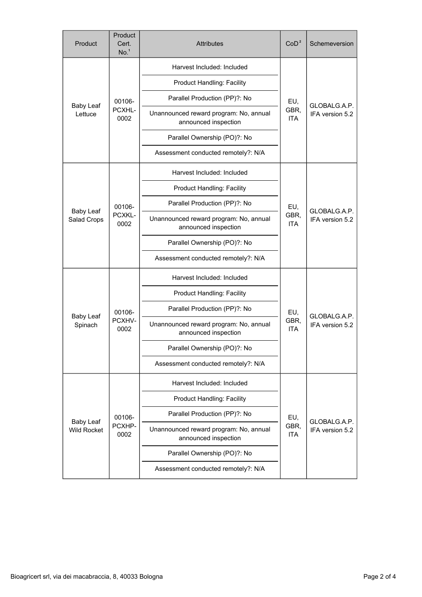| Product                         | Product<br>Cert.<br>No. <sup>1</sup> | <b>Attributes</b>                                              | CoD <sup>2</sup>          | Schemeversion                   |
|---------------------------------|--------------------------------------|----------------------------------------------------------------|---------------------------|---------------------------------|
| <b>Baby Leaf</b><br>Lettuce     | 00106-<br>PCXHL-<br>0002             | Harvest Included: Included                                     | EU,<br>GBR,<br><b>ITA</b> | GLOBALG.A.P.<br>IFA version 5.2 |
|                                 |                                      | Product Handling: Facility                                     |                           |                                 |
|                                 |                                      | Parallel Production (PP)?: No                                  |                           |                                 |
|                                 |                                      | Unannounced reward program: No, annual<br>announced inspection |                           |                                 |
|                                 |                                      | Parallel Ownership (PO)?: No                                   |                           |                                 |
|                                 |                                      | Assessment conducted remotely?: N/A                            |                           |                                 |
| <b>Baby Leaf</b><br>Salad Crops |                                      | Harvest Included: Included                                     | EU,<br>GBR,<br><b>ITA</b> | GLOBALG.A.P.<br>IFA version 5.2 |
|                                 |                                      | <b>Product Handling: Facility</b>                              |                           |                                 |
|                                 | 00106-                               | Parallel Production (PP)?: No                                  |                           |                                 |
|                                 | PCXKL-<br>0002                       | Unannounced reward program: No, annual<br>announced inspection |                           |                                 |
|                                 |                                      | Parallel Ownership (PO)?: No                                   |                           |                                 |
|                                 |                                      | Assessment conducted remotely?: N/A                            |                           |                                 |
|                                 | 00106-<br>PCXHV-<br>0002             | Harvest Included: Included                                     | EU,<br>GBR,<br><b>ITA</b> | GLOBALG.A.P.<br>IFA version 5.2 |
|                                 |                                      | <b>Product Handling: Facility</b>                              |                           |                                 |
|                                 |                                      | Parallel Production (PP)?: No                                  |                           |                                 |
| <b>Baby Leaf</b><br>Spinach     |                                      | Unannounced reward program: No, annual<br>announced inspection |                           |                                 |
|                                 |                                      | Parallel Ownership (PO)?: No                                   |                           |                                 |
|                                 |                                      | Assessment conducted remotely?: N/A                            |                           |                                 |
| <b>Baby Leaf</b><br>Wild Rocket | 00106-<br>PCXHP-<br>0002             | Harvest Included: Included                                     | EU,<br>GBR,<br><b>ITA</b> | GLOBALG.A.P.<br>IFA version 5.2 |
|                                 |                                      | <b>Product Handling: Facility</b>                              |                           |                                 |
|                                 |                                      | Parallel Production (PP)?: No                                  |                           |                                 |
|                                 |                                      | Unannounced reward program: No, annual<br>announced inspection |                           |                                 |
|                                 |                                      | Parallel Ownership (PO)?: No                                   |                           |                                 |
|                                 |                                      | Assessment conducted remotely?: N/A                            |                           |                                 |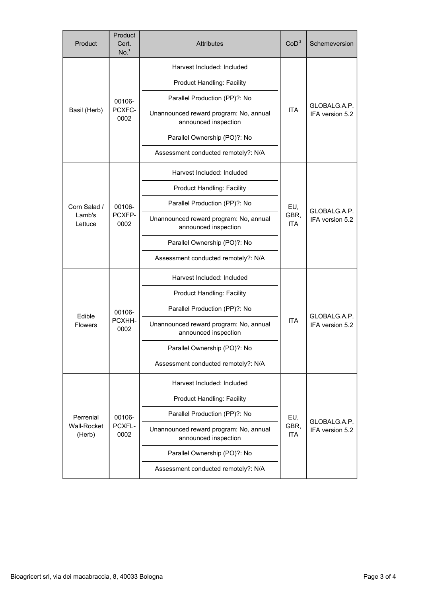| Product                            | Product<br>Cert.<br>No. <sup>1</sup> | <b>Attributes</b>                                              | CoD <sup>2</sup>          | Schemeversion                   |
|------------------------------------|--------------------------------------|----------------------------------------------------------------|---------------------------|---------------------------------|
| Basil (Herb)                       | 00106-<br>PCXFC-<br>0002             | Harvest Included: Included                                     | <b>ITA</b>                | GLOBALG.A.P.<br>IFA version 5.2 |
|                                    |                                      | <b>Product Handling: Facility</b>                              |                           |                                 |
|                                    |                                      | Parallel Production (PP)?: No                                  |                           |                                 |
|                                    |                                      | Unannounced reward program: No, annual<br>announced inspection |                           |                                 |
|                                    |                                      | Parallel Ownership (PO)?: No                                   |                           |                                 |
|                                    |                                      | Assessment conducted remotely?: N/A                            |                           |                                 |
| Corn Salad /<br>Lamb's<br>Lettuce  |                                      | Harvest Included: Included                                     | EU,<br>GBR,<br><b>ITA</b> | GLOBALG.A.P.<br>IFA version 5.2 |
|                                    |                                      | <b>Product Handling: Facility</b>                              |                           |                                 |
|                                    | 00106-<br>PCXFP-<br>0002             | Parallel Production (PP)?: No                                  |                           |                                 |
|                                    |                                      | Unannounced reward program: No, annual<br>announced inspection |                           |                                 |
|                                    |                                      | Parallel Ownership (PO)?: No                                   |                           |                                 |
|                                    |                                      | Assessment conducted remotely?: N/A                            |                           |                                 |
|                                    | 00106-<br>PCXHH-<br>0002             | Harvest Included: Included                                     | <b>ITA</b>                | GLOBALG.A.P.<br>IFA version 5.2 |
|                                    |                                      | Product Handling: Facility                                     |                           |                                 |
| Edible<br><b>Flowers</b>           |                                      | Parallel Production (PP)?: No                                  |                           |                                 |
|                                    |                                      | Unannounced reward program: No, annual<br>announced inspection |                           |                                 |
|                                    |                                      | Parallel Ownership (PO)?: No                                   |                           |                                 |
|                                    |                                      | Assessment conducted remotely?: N/A                            |                           |                                 |
| Perrenial<br>Wall-Rocket<br>(Herb) | 00106-<br>PCXFL-<br>0002             | Harvest Included: Included                                     | EU,<br>GBR,<br><b>ITA</b> | GLOBALG.A.P.<br>IFA version 5.2 |
|                                    |                                      | Product Handling: Facility                                     |                           |                                 |
|                                    |                                      | Parallel Production (PP)?: No                                  |                           |                                 |
|                                    |                                      | Unannounced reward program: No, annual<br>announced inspection |                           |                                 |
|                                    |                                      | Parallel Ownership (PO)?: No                                   |                           |                                 |
|                                    |                                      | Assessment conducted remotely?: N/A                            |                           |                                 |